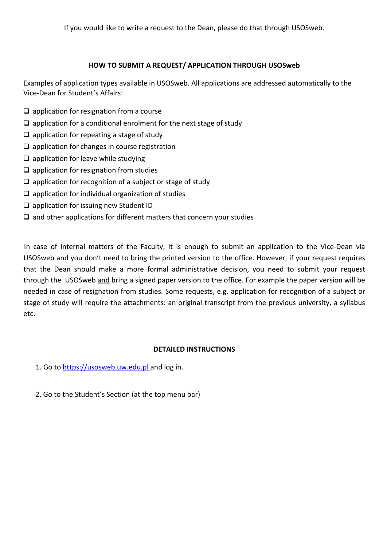## **HOW TO SUBMIT A REQUEST/ APPLICATION THROUGH USOSweb**

Examples of application types available in USOSweb. All applications are addressed automatically to the Vice-Dean for Student's Affairs:

- $\Box$  application for resignation from a course
- $\Box$  application for a conditional enrolment for the next stage of study
- $\Box$  application for repeating a stage of study
- $\square$  application for changes in course registration
- $\Box$  application for leave while studying
- $\Box$  application for resignation from studies
- $\square$  application for recognition of a subject or stage of study
- $\square$  application for individual organization of studies
- $\square$  application for issuing new Student ID
- $\square$  and other applications for different matters that concern your studies

In case of internal matters of the Faculty, it is enough to submit an application to the Vice-Dean via USOSweb and you don't need to bring the printed version to the office. However, if your request requires that the Dean should make a more formal administrative decision, you need to submit your request through the USOSweb and bring a signed paper version to the office. For example the paper version will be needed in case of resignation from studies. Some requests, e.g. application for recognition of a subject or stage of study will require the attachments: an original transcript from the previous university, a syllabus etc.

## **DETAILED INSTRUCTIONS**

- 1. Go to https://usosweb.uw.edu.pl and log in.
- 2. Go to the Student's Section (at the top menu bar)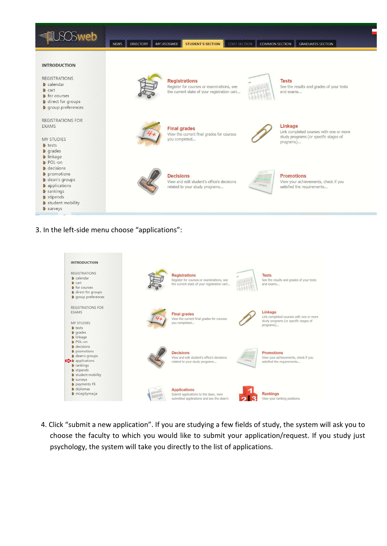| <b>O</b> sweb                                                                                                                                                                                                                  | MY USOSWEB<br><b>DIRECTORY</b><br><b>NEWS</b> | STUDENT'S SECTION<br>STAFF SECTION                                                                               | <b>COMMON SECTION</b> | <b>GRADUATES SECTION</b>                                                                                 |
|--------------------------------------------------------------------------------------------------------------------------------------------------------------------------------------------------------------------------------|-----------------------------------------------|------------------------------------------------------------------------------------------------------------------|-----------------------|----------------------------------------------------------------------------------------------------------|
| <b>INTRODUCTION</b><br><b>REGISTRATIONS</b><br><b>D</b> calendar<br>$\triangleright$ cart<br><b>D</b> for courses<br><b>D</b> direct for groups<br><b>D</b> group preferences                                                  |                                               | <b>Registrations</b><br>Register for courses or examinations, see<br>the current state of your registration cart |                       | <b>Tests</b><br>See the results and grades of your tests<br>and exams                                    |
| <b>REGISTRATIONS FOR</b><br><b>EXAMS</b><br><b>MY STUDIES</b><br><b>D</b> tests<br><b>D</b> grades                                                                                                                             | 47                                            | <b>Final grades</b><br>View the current final grades for courses<br>you completed                                |                       | Linkage<br>Link completed courses with one or more<br>study programs (or specific stages of<br>programs) |
| <b>D</b> linkage<br><b>D</b> POL-on<br><b>D</b> decisions<br><b>D</b> promotions<br><b>D</b> dean's groups<br><b>D</b> applications<br><b>D</b> rankings<br><b>D</b> stipends<br><b>D</b> student mobility<br><b>D</b> surveys |                                               | <b>Decisions</b><br>View and edit student's office's decisions<br>related to your study programs                 | <b>Street</b>         | <b>Promotions</b><br>View your achievements, check if you<br>satisfied the requirements                  |

3. In the left-side menu choose "applications":

| <b>INTRODUCTION</b>                                                                                                                                                                                                              |    |                                                                                                                  |               |                                                                                                          |
|----------------------------------------------------------------------------------------------------------------------------------------------------------------------------------------------------------------------------------|----|------------------------------------------------------------------------------------------------------------------|---------------|----------------------------------------------------------------------------------------------------------|
| <b>REGISTRATIONS</b><br><b>D</b> calendar<br>$\triangleright$ cart<br><b>D</b> for courses<br><b>D</b> direct for groups<br><b>D</b> group preferences                                                                           |    | <b>Registrations</b><br>Register for courses or examinations, see<br>the current state of your registration cart |               | <b>Tests</b><br>See the results and grades of your tests<br>and exams                                    |
| <b>REGISTRATIONS FOR</b><br><b>EXAMS</b><br><b>MY STUDIES</b><br><b>D</b> tests<br><b>D</b> grades<br><b>D</b> linkage                                                                                                           | 4, | <b>Final grades</b><br>View the current final grades for courses<br>you completed                                |               | Linkage<br>Link completed courses with one or more<br>study programs (or specific stages of<br>programs) |
| <b>D</b> POL-on<br><b>D</b> decisions<br><b>D</b> promotions<br><b>D</b> dean's groups<br>$\blacktriangleright$ <b>D</b> applications<br><b>D</b> rankings<br><b>D</b> stipends<br><b>D</b> student mobility<br><b>D</b> surveys |    | <b>Decisions</b><br>View and edit student's office's decisions<br>related to your study programs                 | <b>Groups</b> | <b>Promotions</b><br>View your achievements, check if you<br>satisfied the requirements                  |
| <b>D</b> payments FK<br><b>D</b> diplomas<br><b>D</b> mLegitymacja                                                                                                                                                               |    | <b>Applications</b><br>Submit applications to the dean, view<br>submitted applications and see the dean's        |               | <b>Rankings</b><br>View your ranking positions.                                                          |

4. Click "submit a new application". If you are studying a few fields of study, the system will ask you to choose the faculty to which you would like to submit your application/request. If you study just psychology, the system will take you directly to the list of applications.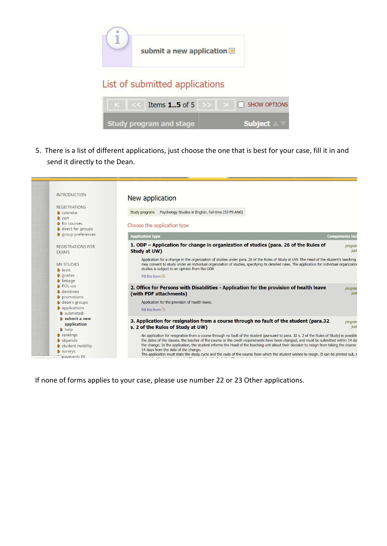

5. There is a list of different applications, just choose the one that is best for your case, fill it in and send it directly to the Dean.

| <b>INTRODUCTION</b>                                                                                    | New application                                                                                                                                                                                                                                                                                                                                                                                                                                                                                                                                                                                                  |                                                                     |
|--------------------------------------------------------------------------------------------------------|------------------------------------------------------------------------------------------------------------------------------------------------------------------------------------------------------------------------------------------------------------------------------------------------------------------------------------------------------------------------------------------------------------------------------------------------------------------------------------------------------------------------------------------------------------------------------------------------------------------|---------------------------------------------------------------------|
| <b>REGISTRATIONS</b>                                                                                   |                                                                                                                                                                                                                                                                                                                                                                                                                                                                                                                                                                                                                  |                                                                     |
| <b>D</b> cart                                                                                          |                                                                                                                                                                                                                                                                                                                                                                                                                                                                                                                                                                                                                  |                                                                     |
| <b>D</b> for courses<br><b>D</b> direct for groups                                                     | Choose the application type                                                                                                                                                                                                                                                                                                                                                                                                                                                                                                                                                                                      |                                                                     |
|                                                                                                        | <b>Application type</b>                                                                                                                                                                                                                                                                                                                                                                                                                                                                                                                                                                                          | <b>Components inc</b>                                               |
| <b>REGISTRATIONS FOR</b><br><b>EXAMS</b>                                                               | 1. ODP – Application for change in organization of studies (para. 26 of the Rules of<br>Study at UW)                                                                                                                                                                                                                                                                                                                                                                                                                                                                                                             | progran<br>just                                                     |
| <b>MY STUDIES</b><br><b>D</b> tests<br><b>D</b> grades                                                 | Application for a change in the organization of studies under para, 26 of the Rules of Study at UW. The Head of the student's teaching<br>may consent to study under an individual organization of studies, specifying its detailed rules. The application for individual organizatio<br>studies is subject to an opinion from the ODP.<br>Fill the form $\blacksquare$                                                                                                                                                                                                                                          |                                                                     |
| <b>D</b> POL-on<br><b>D</b> decisions                                                                  | 2. Office for Persons with Disabilities - Application for the provision of health leave<br>(with PDF attachments)                                                                                                                                                                                                                                                                                                                                                                                                                                                                                                | progran<br>just                                                     |
| <b>D</b> dean's groups                                                                                 | Application for the provision of health leave.                                                                                                                                                                                                                                                                                                                                                                                                                                                                                                                                                                   |                                                                     |
| <b>D</b> submitted                                                                                     | Fill the form $\blacksquare$                                                                                                                                                                                                                                                                                                                                                                                                                                                                                                                                                                                     |                                                                     |
| <b>D</b> submit a new<br>application<br><b>D</b> help                                                  | 3. Application for resignation from a course through no fault of the student (para.32)<br>s. 2 of the Rules of Study at UW)                                                                                                                                                                                                                                                                                                                                                                                                                                                                                      | progran<br>just                                                     |
| <b>D</b> rankings<br><b>D</b> stipends<br><b>D</b> student mobility<br><b>D</b> surveys<br>payments FK | An application for resignation from a course through no fault of the student (pursuant to para, 32 s, 2 of the Rules of Study) is possible<br>the dates of the classes, the teacher of the course or the credit requirements have been changed, and must be submitted within 14 da<br>the change. In the application, the student informs the Head of the teaching unit about their decision to resign from taking the course<br>14 days from the date of the change.<br>The application must state the study cycle and the code of the course from which the student wishes to resign. It can be printed out, s |                                                                     |
|                                                                                                        | <b>D</b> calendar<br><b>D</b> group preferences<br><b>D</b> linkage<br><b>D</b> promotions<br><b>D</b> applications                                                                                                                                                                                                                                                                                                                                                                                                                                                                                              | Study program: Psychology Studies in English, full-time [SJ-PS-ANG] |

If none of forms applies to your case, please use number 22 or 23 Other applications.